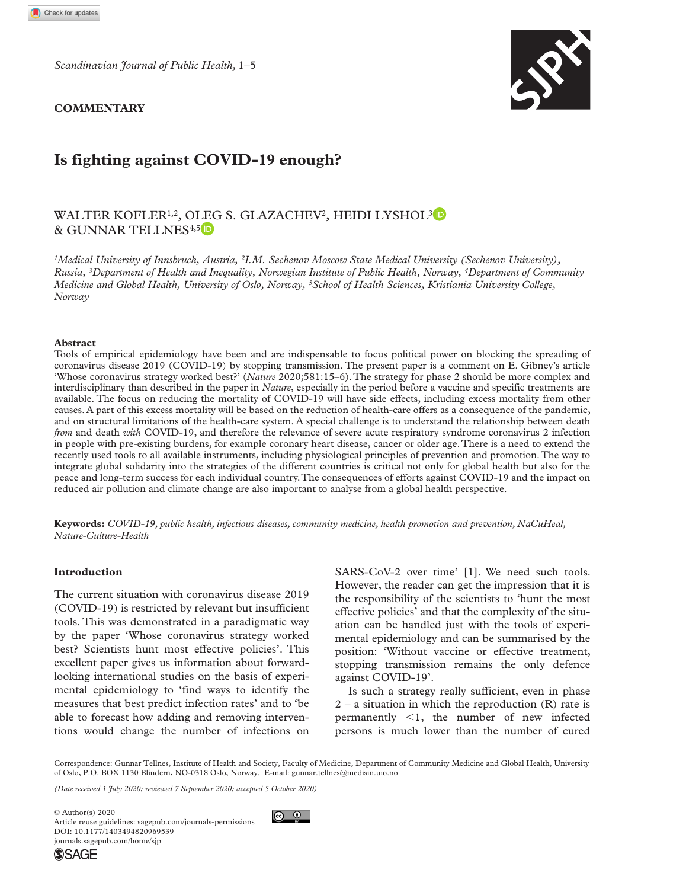*Scandinavian Journal of Public Health,* 1–5

### **Commentary**



# **Is fighting against COVID-19 enough?**

## WALTER KOFLER<sup>1,2</sup>, OLEG S. GLAZACHEV<sup>2</sup>, HEIDI LYSHOL<sup>3</sup> & Gunnar Tellnes4,5

*1Medical University of Innsbruck, Austria, 2I.M. Sechenov Moscow State Medical University (Sechenov University), Russia, 3Department of Health and Inequality, Norwegian Institute of Public Health, Norway, 4Department of Community Medicine and Global Health, University of Oslo, Norway, 5School of Health Sciences, Kristiania University College, Norway*

#### **Abstract**

Tools of empirical epidemiology have been and are indispensable to focus political power on blocking the spreading of coronavirus disease 2019 (COVID-19) by stopping transmission. The present paper is a comment on E. Gibney's article 'Whose coronavirus strategy worked best?' (*Nature* 2020;581:15–6). The strategy for phase 2 should be more complex and interdisciplinary than described in the paper in *Nature*, especially in the period before a vaccine and specific treatments are available. The focus on reducing the mortality of COVID-19 will have side effects, including excess mortality from other causes. A part of this excess mortality will be based on the reduction of health-care offers as a consequence of the pandemic, and on structural limitations of the health-care system. A special challenge is to understand the relationship between death *from* and death *with* COVID-19, and therefore the relevance of severe acute respiratory syndrome coronavirus 2 infection in people with pre-existing burdens, for example coronary heart disease, cancer or older age. There is a need to extend the recently used tools to all available instruments, including physiological principles of prevention and promotion. The way to integrate global solidarity into the strategies of the different countries is critical not only for global health but also for the peace and long-term success for each individual country. The consequences of efforts against COVID-19 and the impact on reduced air pollution and climate change are also important to analyse from a global health perspective.

**Keywords:** *COVID-19, public health, infectious diseases, community medicine, health promotion and prevention, NaCuHeal, Nature-Culture-Health*

### **Introduction**

The current situation with coronavirus disease 2019 (COVID-19) is restricted by relevant but insufficient tools. This was demonstrated in a paradigmatic way by the paper 'Whose coronavirus strategy worked best? Scientists hunt most effective policies'. This excellent paper gives us information about forwardlooking international studies on the basis of experimental epidemiology to 'find ways to identify the measures that best predict infection rates' and to 'be able to forecast how adding and removing interventions would change the number of infections on

SARS-CoV-2 over time' [1]. We need such tools. However, the reader can get the impression that it is the responsibility of the scientists to 'hunt the most effective policies' and that the complexity of the situation can be handled just with the tools of experimental epidemiology and can be summarised by the position: 'Without vaccine or effective treatment, stopping transmission remains the only defence against COVID-19'.

Is such a strategy really sufficient, even in phase  $2 - a$  situation in which the reproduction  $(R)$  rate is permanently <1, the number of new infected persons is much lower than the number of cured

Correspondence: Gunnar Tellnes, Institute of Health and Society, Faculty of Medicine, Department of Community Medicine and Global Health, University of Oslo, P.O. BOX 1130 Blindern, NO-0318 Oslo, Norway. E-mail: [gunnar.tellnes@medisin.uio.no](mailto:gunnar.tellnes@medisin.uio.no)

*(Date received 1 July 2020; reviewed 7 September 2020; accepted 5 October 2020)*

DOI: 10.1177/1403494820969539 © Author(s) 2020 Article reuse guidelines: [sagepub.com/journals-permissions](https://uk.sagepub.com/en-gb/journals-permissions) [journals.sagepub.com/home/sjp](https://journals.sagepub.com/home/sjp)

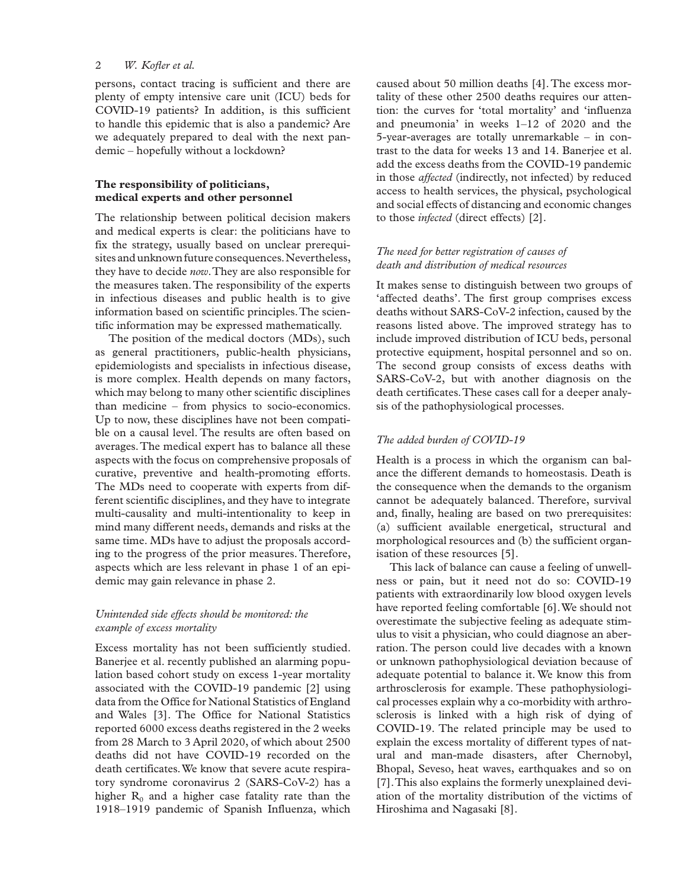#### 2 *W. Kofler et al.*

persons, contact tracing is sufficient and there are plenty of empty intensive care unit (ICU) beds for COVID-19 patients? In addition, is this sufficient to handle this epidemic that is also a pandemic? Are we adequately prepared to deal with the next pandemic – hopefully without a lockdown?

#### **The responsibility of politicians, medical experts and other personnel**

The relationship between political decision makers and medical experts is clear: the politicians have to fix the strategy, usually based on unclear prerequisites and unknown future consequences. Nevertheless, they have to decide *now*. They are also responsible for the measures taken. The responsibility of the experts in infectious diseases and public health is to give information based on scientific principles. The scientific information may be expressed mathematically.

The position of the medical doctors (MDs), such as general practitioners, public-health physicians, epidemiologists and specialists in infectious disease, is more complex. Health depends on many factors, which may belong to many other scientific disciplines than medicine – from physics to socio-economics. Up to now, these disciplines have not been compatible on a causal level. The results are often based on averages. The medical expert has to balance all these aspects with the focus on comprehensive proposals of curative, preventive and health-promoting efforts. The MDs need to cooperate with experts from different scientific disciplines, and they have to integrate multi-causality and multi-intentionality to keep in mind many different needs, demands and risks at the same time. MDs have to adjust the proposals according to the progress of the prior measures. Therefore, aspects which are less relevant in phase 1 of an epidemic may gain relevance in phase 2.

#### *Unintended side effects should be monitored: the example of excess mortality*

Excess mortality has not been sufficiently studied. Banerjee et al. recently published an alarming population based cohort study on excess 1-year mortality associated with the COVID-19 pandemic [2] using data from the Office for National Statistics of England and Wales [3]. The Office for National Statistics reported 6000 excess deaths registered in the 2 weeks from 28 March to 3 April 2020, of which about 2500 deaths did not have COVID-19 recorded on the death certificates. We know that severe acute respiratory syndrome coronavirus 2 (SARS-CoV-2) has a higher  $R_0$  and a higher case fatality rate than the 1918–1919 pandemic of Spanish Influenza, which

caused about 50 million deaths [4]. The excess mortality of these other 2500 deaths requires our attention: the curves for 'total mortality' and 'influenza and pneumonia' in weeks 1–12 of 2020 and the 5-year-averages are totally unremarkable – in contrast to the data for weeks 13 and 14. Banerjee et al. add the excess deaths from the COVID-19 pandemic in those *affected* (indirectly, not infected) by reduced access to health services, the physical, psychological and social effects of distancing and economic changes to those *infected* (direct effects) [2].

### *The need for better registration of causes of death and distribution of medical resources*

It makes sense to distinguish between two groups of 'affected deaths'. The first group comprises excess deaths without SARS-CoV-2 infection, caused by the reasons listed above. The improved strategy has to include improved distribution of ICU beds, personal protective equipment, hospital personnel and so on. The second group consists of excess deaths with SARS-CoV-2, but with another diagnosis on the death certificates. These cases call for a deeper analysis of the pathophysiological processes.

### *The added burden of COVID-19*

Health is a process in which the organism can balance the different demands to homeostasis. Death is the consequence when the demands to the organism cannot be adequately balanced. Therefore, survival and, finally, healing are based on two prerequisites: (a) sufficient available energetical, structural and morphological resources and (b) the sufficient organisation of these resources [5].

This lack of balance can cause a feeling of unwellness or pain, but it need not do so: COVID-19 patients with extraordinarily low blood oxygen levels have reported feeling comfortable [6]. We should not overestimate the subjective feeling as adequate stimulus to visit a physician, who could diagnose an aberration. The person could live decades with a known or unknown pathophysiological deviation because of adequate potential to balance it. We know this from arthrosclerosis for example. These pathophysiological processes explain why a co-morbidity with arthrosclerosis is linked with a high risk of dying of COVID-19. The related principle may be used to explain the excess mortality of different types of natural and man-made disasters, after Chernobyl, Bhopal, Seveso, heat waves, earthquakes and so on [7]. This also explains the formerly unexplained deviation of the mortality distribution of the victims of Hiroshima and Nagasaki [8].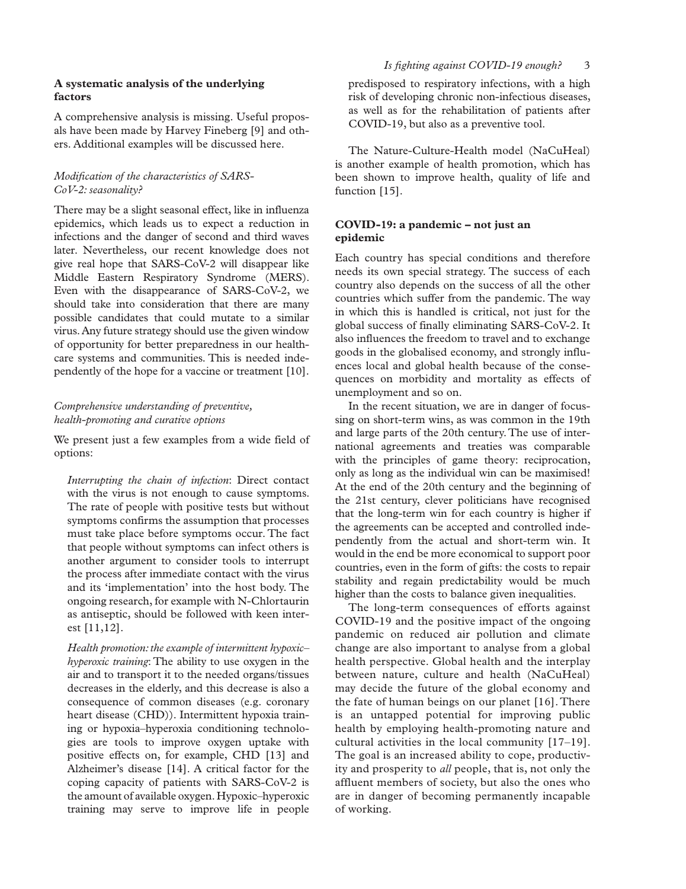#### **A systematic analysis of the underlying factors**

A comprehensive analysis is missing. Useful proposals have been made by Harvey Fineberg [9] and others. Additional examples will be discussed here.

### *Modification of the characteristics of SARS-CoV-2: seasonality?*

There may be a slight seasonal effect, like in influenza epidemics, which leads us to expect a reduction in infections and the danger of second and third waves later. Nevertheless, our recent knowledge does not give real hope that SARS-CoV-2 will disappear like Middle Eastern Respiratory Syndrome (MERS). Even with the disappearance of SARS-CoV-2, we should take into consideration that there are many possible candidates that could mutate to a similar virus. Any future strategy should use the given window of opportunity for better preparedness in our healthcare systems and communities. This is needed independently of the hope for a vaccine or treatment [10].

#### *Comprehensive understanding of preventive, health-promoting and curative options*

We present just a few examples from a wide field of options:

*Interrupting the chain of infection*: Direct contact with the virus is not enough to cause symptoms. The rate of people with positive tests but without symptoms confirms the assumption that processes must take place before symptoms occur. The fact that people without symptoms can infect others is another argument to consider tools to interrupt the process after immediate contact with the virus and its 'implementation' into the host body. The ongoing research, for example with N-Chlortaurin as antiseptic, should be followed with keen interest [11,12].

*Health promotion: the example of intermittent hypoxic– hyperoxic training*: The ability to use oxygen in the air and to transport it to the needed organs/tissues decreases in the elderly, and this decrease is also a consequence of common diseases (e.g. coronary heart disease (CHD)). Intermittent hypoxia training or hypoxia–hyperoxia conditioning technologies are tools to improve oxygen uptake with positive effects on, for example, CHD [13] and Alzheimer's disease [14]. A critical factor for the coping capacity of patients with SARS-CoV-2 is the amount of available oxygen. Hypoxic–hyperoxic training may serve to improve life in people

predisposed to respiratory infections, with a high risk of developing chronic non-infectious diseases, as well as for the rehabilitation of patients after COVID-19, but also as a preventive tool.

The Nature-Culture-Health model (NaCuHeal) is another example of health promotion, which has been shown to improve health, quality of life and function [15].

#### **COVID-19: a pandemic – not just an epidemic**

Each country has special conditions and therefore needs its own special strategy. The success of each country also depends on the success of all the other countries which suffer from the pandemic. The way in which this is handled is critical, not just for the global success of finally eliminating SARS-CoV-2. It also influences the freedom to travel and to exchange goods in the globalised economy, and strongly influences local and global health because of the consequences on morbidity and mortality as effects of unemployment and so on.

In the recent situation, we are in danger of focussing on short-term wins, as was common in the 19th and large parts of the 20th century. The use of international agreements and treaties was comparable with the principles of game theory: reciprocation, only as long as the individual win can be maximised! At the end of the 20th century and the beginning of the 21st century, clever politicians have recognised that the long-term win for each country is higher if the agreements can be accepted and controlled independently from the actual and short-term win. It would in the end be more economical to support poor countries, even in the form of gifts: the costs to repair stability and regain predictability would be much higher than the costs to balance given inequalities.

The long-term consequences of efforts against COVID-19 and the positive impact of the ongoing pandemic on reduced air pollution and climate change are also important to analyse from a global health perspective. Global health and the interplay between nature, culture and health (NaCuHeal) may decide the future of the global economy and the fate of human beings on our planet [16]. There is an untapped potential for improving public health by employing health-promoting nature and cultural activities in the local community [17–19]. The goal is an increased ability to cope, productivity and prosperity to *all* people, that is, not only the affluent members of society, but also the ones who are in danger of becoming permanently incapable of working.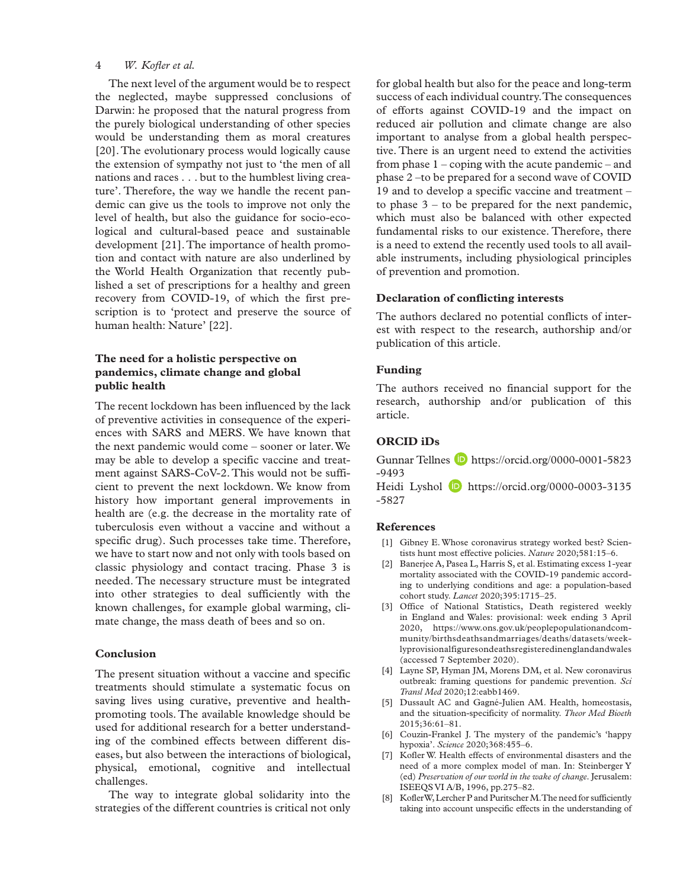#### 4 *W. Kofler et al.*

The next level of the argument would be to respect the neglected, maybe suppressed conclusions of Darwin: he proposed that the natural progress from the purely biological understanding of other species would be understanding them as moral creatures [20]. The evolutionary process would logically cause the extension of sympathy not just to 'the men of all nations and races . . . but to the humblest living creature'. Therefore, the way we handle the recent pandemic can give us the tools to improve not only the level of health, but also the guidance for socio-ecological and cultural-based peace and sustainable development [21]. The importance of health promotion and contact with nature are also underlined by the World Health Organization that recently published a set of prescriptions for a healthy and green recovery from COVID-19, of which the first prescription is to 'protect and preserve the source of human health: Nature' [22].

### **The need for a holistic perspective on pandemics, climate change and global public health**

The recent lockdown has been influenced by the lack of preventive activities in consequence of the experiences with SARS and MERS. We have known that the next pandemic would come – sooner or later. We may be able to develop a specific vaccine and treatment against SARS-CoV-2. This would not be sufficient to prevent the next lockdown. We know from history how important general improvements in health are (e.g. the decrease in the mortality rate of tuberculosis even without a vaccine and without a specific drug). Such processes take time. Therefore, we have to start now and not only with tools based on classic physiology and contact tracing. Phase 3 is needed. The necessary structure must be integrated into other strategies to deal sufficiently with the known challenges, for example global warming, climate change, the mass death of bees and so on.

#### **Conclusion**

The present situation without a vaccine and specific treatments should stimulate a systematic focus on saving lives using curative, preventive and healthpromoting tools. The available knowledge should be used for additional research for a better understanding of the combined effects between different diseases, but also between the interactions of biological, physical, emotional, cognitive and intellectual challenges.

The way to integrate global solidarity into the strategies of the different countries is critical not only for global health but also for the peace and long-term success of each individual country. The consequences of efforts against COVID-19 and the impact on reduced air pollution and climate change are also important to analyse from a global health perspective. There is an urgent need to extend the activities from phase 1 – coping with the acute pandemic – and phase 2 –to be prepared for a second wave of COVID 19 and to develop a specific vaccine and treatment – to phase  $3 -$  to be prepared for the next pandemic, which must also be balanced with other expected fundamental risks to our existence. Therefore, there is a need to extend the recently used tools to all available instruments, including physiological principles of prevention and promotion.

#### **Declaration of conflicting interests**

The authors declared no potential conflicts of interest with respect to the research, authorship and/or publication of this article.

#### **Funding**

The authors received no financial support for the research, authorship and/or publication of this article.

### **ORCID iDs**

Gunnar Tellnes **b** [https://orcid.org/0000-0001-5823](https://orcid.org/0000-0001-5823-9493) [-9493](https://orcid.org/0000-0001-5823-9493)

Heidi Lyshol **D** [https://orcid.org/0000-0003-3135](https://orcid.org/0000-0003-3135-5827) [-5827](https://orcid.org/0000-0003-3135-5827)

#### **References**

- [1] Gibney E. Whose coronavirus strategy worked best? Scientists hunt most effective policies. *Nature* 2020;581:15–6.
- [2] Banerjee A, Pasea L, Harris S, et al. Estimating excess 1-year mortality associated with the COVID-19 pandemic according to underlying conditions and age: a population-based cohort study. *Lancet* 2020;395:1715–25.
- [3] Office of National Statistics, Death registered weekly in England and Wales: provisional: week ending 3 April 2020, [https://www.ons.gov.uk/peoplepopulationandcom](https://www.ons.gov.uk/peoplepopulationandcommunity/birthsdeathsandmarriages/deaths/datasets/weeklyprovisionalfiguresondeathsregisteredinenglandandwales)[munity/birthsdeathsandmarriages/deaths/datasets/week](https://www.ons.gov.uk/peoplepopulationandcommunity/birthsdeathsandmarriages/deaths/datasets/weeklyprovisionalfiguresondeathsregisteredinenglandandwales)[lyprovisionalfiguresondeathsregisteredinenglandandwales](https://www.ons.gov.uk/peoplepopulationandcommunity/birthsdeathsandmarriages/deaths/datasets/weeklyprovisionalfiguresondeathsregisteredinenglandandwales) (accessed 7 September 2020).
- [4] Layne SP, Hyman JM, Morens DM, et al. New coronavirus outbreak: framing questions for pandemic prevention. *Sci Transl Med* 2020;12:eabb1469.
- [5] Dussault AC and Gagné-Julien AM. Health, homeostasis, and the situation-specificity of normality. *Theor Med Bioeth* 2015;36:61–81.
- [6] Couzin-Frankel J. The mystery of the pandemic's 'happy hypoxia'. *Science* 2020;368:455–6.
- [7] Kofler W. Health effects of environmental disasters and the need of a more complex model of man. In: Steinberger Y (ed) *Preservation of our world in the wake of change*. Jerusalem: ISEEQS VI A/B, 1996, pp.275–82.
- [8] Kofler W, Lercher P and Puritscher M. The need for sufficiently taking into account unspecific effects in the understanding of